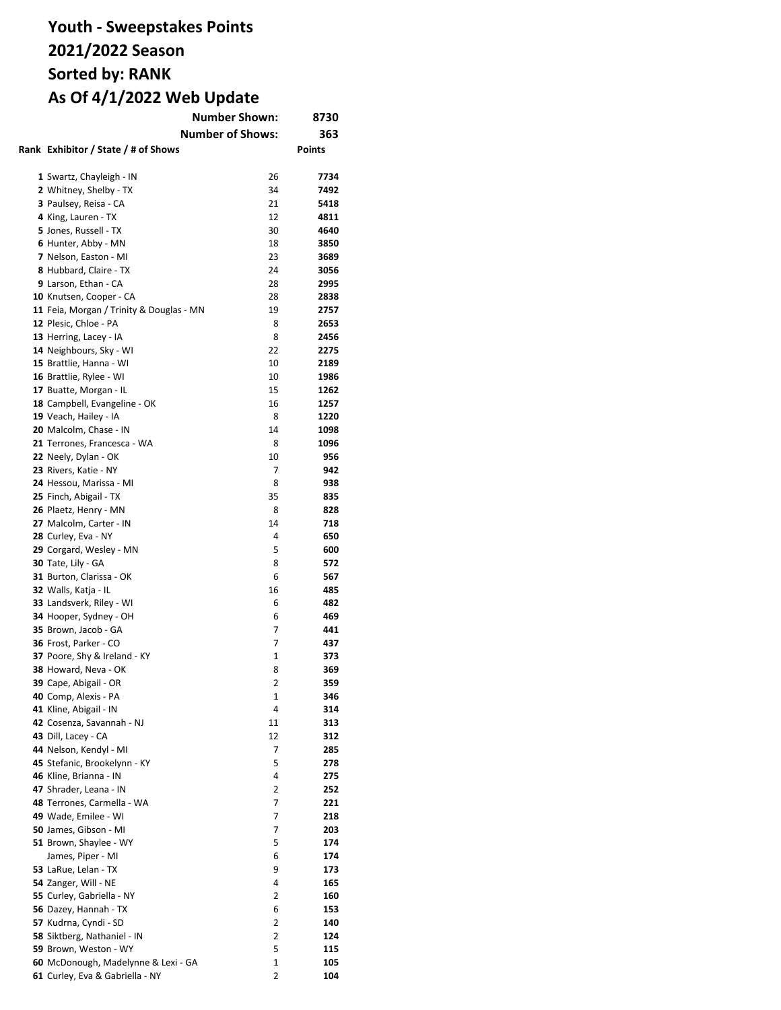# **Youth - Sweepstakes Points 2021/2022 Season Sorted by: RANK As Of 4/1/2022 Web Update**

| <b>Number Shown:</b><br>8730             |                         |            |
|------------------------------------------|-------------------------|------------|
|                                          | <b>Number of Shows:</b> | 363        |
| Rank Exhibitor / State / # of Shows      |                         | Points     |
|                                          |                         |            |
|                                          |                         |            |
| 1 Swartz, Chayleigh - IN                 | 26                      | 7734       |
| 2 Whitney, Shelby - TX                   | 34                      | 7492       |
| 3 Paulsey, Reisa - CA                    | 21                      | 5418       |
| 4 King, Lauren - TX                      | 12                      | 4811       |
| 5 Jones, Russell - TX                    | 30                      | 4640       |
| 6 Hunter, Abby - MN                      | 18                      | 3850       |
| 7 Nelson, Easton - MI                    | 23                      | 3689       |
| 8 Hubbard, Claire - TX                   | 24                      | 3056       |
| 9 Larson, Ethan - CA                     | 28                      | 2995       |
| 10 Knutsen, Cooper - CA                  | 28                      | 2838       |
| 11 Feia, Morgan / Trinity & Douglas - MN | 19                      | 2757       |
| 12 Plesic, Chloe - PA                    | 8                       | 2653       |
| 13 Herring, Lacey - IA                   | 8                       | 2456       |
| 14 Neighbours, Sky - WI                  | 22                      | 2275       |
| 15 Brattlie, Hanna - WI                  | 10                      | 2189       |
| 16 Brattlie, Rylee - WI                  | 10                      | 1986       |
| 17 Buatte, Morgan - IL                   | 15                      | 1262       |
| 18 Campbell, Evangeline - OK             | 16                      | 1257       |
| 19 Veach, Hailey - IA                    | 8                       | 1220       |
| 20 Malcolm, Chase - IN                   | 14                      | 1098       |
| 21 Terrones, Francesca - WA              | 8                       | 1096       |
| 22 Neely, Dylan - OK                     | 10                      | 956        |
| 23 Rivers, Katie - NY                    | 7                       | 942        |
| 24 Hessou, Marissa - MI                  | 8                       | 938        |
| 25 Finch, Abigail - TX                   | 35                      | 835        |
| 26 Plaetz, Henry - MN                    | 8                       | 828        |
| 27 Malcolm, Carter - IN                  | 14                      | 718        |
| 28 Curley, Eva - NY                      | 4                       | 650        |
| 29 Corgard, Wesley - MN                  | 5                       | 600        |
| 30 Tate, Lily - GA                       | 8                       | 572        |
| 31 Burton, Clarissa - OK                 | 6                       | 567        |
| 32 Walls, Katja - IL                     | 16                      | 485        |
| 33 Landsverk, Riley - WI                 | 6                       | 482        |
| 34 Hooper, Sydney - OH                   | 6                       | 469        |
| 35 Brown, Jacob - GA                     | 7                       | 441        |
| 36 Frost, Parker - CO                    | 7                       | 437        |
| 37 Poore, Shy & Ireland - KY             | 1                       | 373        |
|                                          | 8                       |            |
| 38 Howard, Neva - OK                     | 2                       | 369<br>359 |
| 39 Cape, Abigail - OR                    |                         |            |
| <b>40</b> Comp, Alexis - PA              | 1                       | 346        |
| 41 Kline, Abigail - IN                   | 4                       | 314        |
| 42 Cosenza, Savannah - NJ                | 11                      | 313        |
| 43 Dill, Lacey - CA                      | 12                      | 312        |
| 44 Nelson, Kendyl - MI                   | 7                       | 285        |
| 45 Stefanic, Brookelynn - KY             | 5                       | 278        |
| 46 Kline, Brianna - IN                   | 4                       | 275        |
| 47 Shrader, Leana - IN                   | 2                       | 252        |
| 48 Terrones, Carmella - WA               | 7                       | 221        |
| 49 Wade, Emilee - WI                     | 7                       | 218        |
| 50 James, Gibson - MI                    | 7                       | 203        |
| 51 Brown, Shaylee - WY                   | 5                       | 174        |
| James, Piper - MI                        | 6                       | 174        |
| 53 LaRue, Lelan - TX                     | 9                       | 173        |
| 54 Zanger, Will - NE                     | 4                       | 165        |
| 55 Curley, Gabriella - NY                | 2                       | 160        |
| 56 Dazey, Hannah - TX                    | 6                       | 153        |
| 57 Kudrna, Cyndi - SD                    | 2                       | 140        |
| 58 Siktberg, Nathaniel - IN              | 2                       | 124        |
| 59 Brown, Weston - WY                    | 5                       | 115        |
| 60 McDonough, Madelynne & Lexi - GA      | 1                       | 105        |
| 61 Curley, Eva & Gabriella - NY          | 2                       | 104        |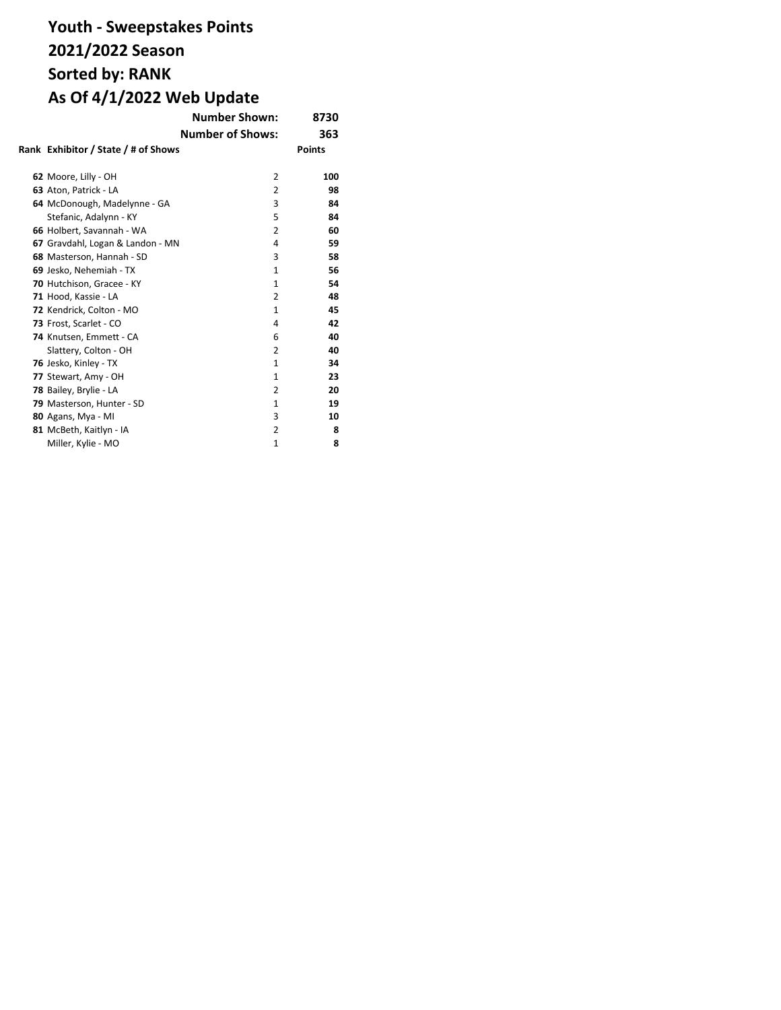# **Youth - Sweepstakes Points 2021/2022 Season Sorted by: RANK As Of 4/1/2022 Web Update**

|                                     | <b>Number Shown:</b>    | 8730          |
|-------------------------------------|-------------------------|---------------|
|                                     | <b>Number of Shows:</b> | 363           |
| Rank Exhibitor / State / # of Shows |                         | <b>Points</b> |
| 62 Moore, Lilly - OH                | 2                       | 100           |
| 63 Aton, Patrick - LA               | 2                       | 98            |
| 64 McDonough, Madelynne - GA        | 3                       | 84            |
| Stefanic, Adalynn - KY              | 5                       | 84            |
| 66 Holbert, Savannah - WA           | 2                       | 60            |
| 67 Gravdahl, Logan & Landon - MN    | 4                       | 59            |
| 68 Masterson, Hannah - SD           | 3                       | 58            |
| 69 Jesko, Nehemiah - TX             | $\mathbf{1}$            | 56            |
| 70 Hutchison, Gracee - KY           | $\mathbf{1}$            | 54            |
| 71 Hood, Kassie - LA                | 2                       | 48            |
| 72 Kendrick, Colton - MO            | 1                       | 45            |
| 73 Frost, Scarlet - CO              | 4                       | 42            |
| 74 Knutsen, Emmett - CA             | 6                       | 40            |
| Slattery, Colton - OH               | $\overline{2}$          | 40            |
| 76 Jesko, Kinley - TX               | $\mathbf{1}$            | 34            |
| 77 Stewart, Amy - OH                | $\mathbf{1}$            | 23            |
| 78 Bailey, Brylie - LA              | $\overline{2}$          | 20            |
| 79 Masterson, Hunter - SD           | 1                       | 19            |
| 80 Agans, Mya - MI                  | 3                       | 10            |
| 81 McBeth, Kaitlyn - IA             | 2                       | 8             |
| Miller, Kylie - MO                  | $\mathbf{1}$            | 8             |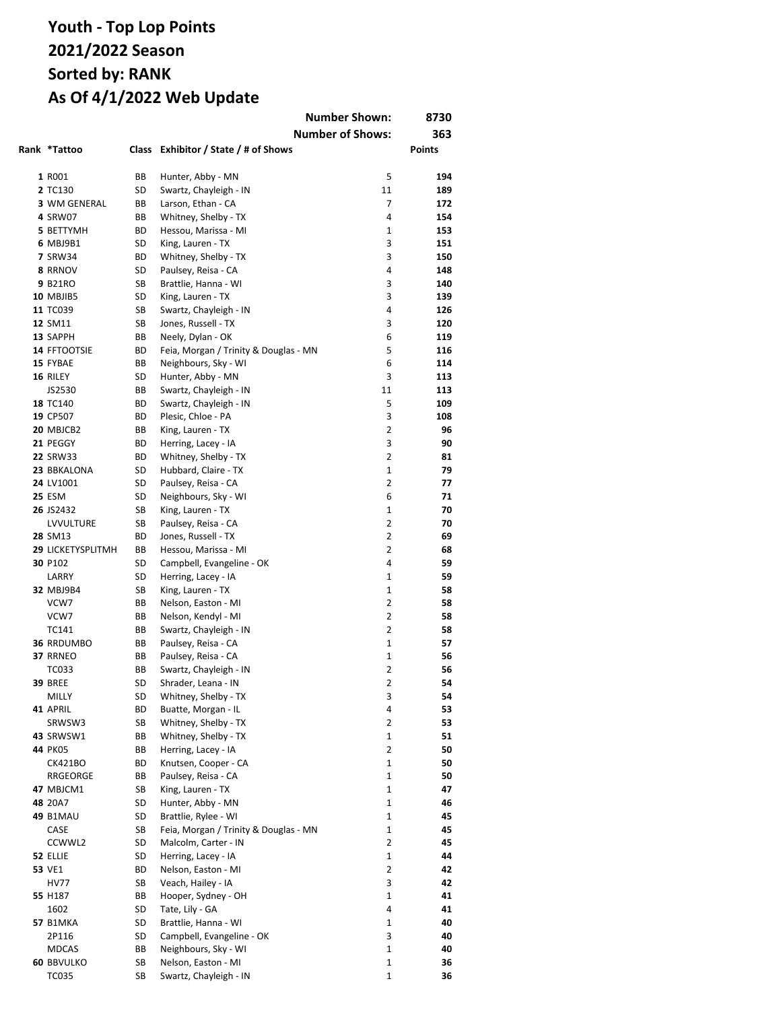|                              |          |                                               | <b>Number Shown:</b>    | 8730          |
|------------------------------|----------|-----------------------------------------------|-------------------------|---------------|
|                              |          |                                               |                         |               |
|                              |          |                                               | <b>Number of Shows:</b> | 363           |
| Rank *Tattoo                 |          | Class Exhibitor / State / # of Shows          |                         | <b>Points</b> |
|                              |          |                                               |                         |               |
| 1 R001                       | ВB       | Hunter, Abby - MN                             | 5                       | 194           |
| 2 TC130                      | SD       | Swartz, Chayleigh - IN                        | 11                      | 189           |
| 3 WM GENERAL                 | ВB       | Larson, Ethan - CA                            | 7                       | 172           |
| 4 SRW07                      | ВB       | Whitney, Shelby - TX                          | 4                       | 154           |
| 5 BETTYMH                    | ВD       | Hessou, Marissa - MI                          | 1                       | 153           |
| 6 MBJ9B1                     | SD       | King, Lauren - TX                             | 3                       | 151           |
| <b>7 SRW34</b>               | ВD       | Whitney, Shelby - TX                          | 3<br>4                  | 150           |
| 8 RRNOV                      | SD       | Paulsey, Reisa - CA                           | 3                       | 148<br>140    |
| 9 B21RO                      | SB<br>SD | Brattlie, Hanna - WI                          | 3                       | 139           |
| <b>10 MBJIB5</b><br>11 TC039 | SB       | King, Lauren - TX                             | 4                       | 126           |
| 12 SM11                      | SB       | Swartz, Chayleigh - IN<br>Jones, Russell - TX | 3                       | 120           |
| 13 SAPPH                     | ВB       | Neely, Dylan - OK                             | 6                       | 119           |
| 14 FFTOOTSIE                 | ВD       | Feia, Morgan / Trinity & Douglas - MN         | 5                       | 116           |
| 15 FYBAE                     | ВB       | Neighbours, Sky - WI                          | 6                       | 114           |
| 16 RILEY                     | SD       | Hunter, Abby - MN                             | 3                       | 113           |
| JS2530                       | ВB       | Swartz, Chayleigh - IN                        | 11                      | 113           |
| 18 TC140                     | ВD       |                                               | 5                       | 109           |
| 19 CP507                     | ВD       | Swartz, Chayleigh - IN<br>Plesic, Chloe - PA  | 3                       | 108           |
| 20 MBJCB2                    | ВB       | King, Lauren - TX                             | 2                       | 96            |
| 21 PEGGY                     | ВD       | Herring, Lacey - IA                           | 3                       | 90            |
| <b>22 SRW33</b>              | ВD       | Whitney, Shelby - TX                          | 2                       | 81            |
| 23 BBKALONA                  | SD       | Hubbard, Claire - TX                          | $\mathbf{1}$            | 79            |
| 24 LV1001                    | SD       | Paulsey, Reisa - CA                           | 2                       | 77            |
| <b>25 ESM</b>                | SD       | Neighbours, Sky - WI                          | 6                       | 71            |
| 26 JS2432                    | SB       | King, Lauren - TX                             | $\mathbf{1}$            | 70            |
| LVVULTURE                    | SB       | Paulsey, Reisa - CA                           | 2                       | 70            |
| 28 SM13                      | ВD       | Jones, Russell - TX                           | 2                       | 69            |
| <b>29 LICKETYSPLITMH</b>     | ВB       | Hessou, Marissa - MI                          | $\overline{2}$          | 68            |
| 30 P102                      | SD       | Campbell, Evangeline - OK                     | 4                       | 59            |
| LARRY                        | SD       | Herring, Lacey - IA                           | $\mathbf{1}$            | 59            |
| 32 MBJ9B4                    | SB       | King, Lauren - TX                             | $\mathbf{1}$            | 58            |
| VCW7                         | BВ       | Nelson, Easton - MI                           | $\overline{2}$          | 58            |
| VCW7                         | BВ       | Nelson, Kendyl - MI                           | $\overline{2}$          | 58            |
| TC141                        | BВ       | Swartz, Chayleigh - IN                        | $\overline{2}$          | 58            |
| <b>36 RRDUMBO</b>            | BВ       | Paulsey, Reisa - CA                           | $\mathbf{1}$            | 57            |
| 37 RRNEO                     | BВ       | Paulsey, Reisa - CA                           | $\mathbf{1}$            | 56            |
| TC033                        | BB       | Swartz, Chayleigh - IN                        | $\overline{2}$          | 56            |
| <b>39 BREE</b>               | SD       | Shrader, Leana - IN                           | 2                       | 54            |
| MILLY                        | SD       | Whitney, Shelby - TX                          | 3                       | 54            |
| 41 APRIL                     | ВD       | Buatte, Morgan - IL                           | 4                       | 53            |
| SRWSW3                       | SB       | Whitney, Shelby - TX                          | $\overline{2}$          | 53            |
| 43 SRWSW1                    | BВ       | Whitney, Shelby - TX                          | 1                       | 51            |
| 44 PK05                      | ВB       | Herring, Lacey - IA                           | $\overline{2}$          | 50            |
| <b>CK421BO</b>               | ВD       | Knutsen, Cooper - CA                          | 1                       | 50            |
| RRGEORGE                     | ВB       | Paulsey, Reisa - CA                           | $\mathbf{1}$            | 50            |
| 47 MBJCM1                    | SB       | King, Lauren - TX                             | 1                       | 47            |
| 48 20A7                      | SD       | Hunter, Abby - MN                             | $\mathbf{1}$            | 46            |
| <b>49 B1MAU</b>              | SD       | Brattlie, Rylee - WI                          | 1                       | 45            |
| CASE                         | SB       | Feia, Morgan / Trinity & Douglas - MN         | 1                       | 45            |
| CCWWL2                       | SD       | Malcolm, Carter - IN                          | 2                       | 45            |
| 52 ELLIE                     | SD       | Herring, Lacey - IA                           | $\mathbf{1}$            | 44            |
| 53 VE1                       | ВD       | Nelson, Easton - MI                           | 2                       | 42            |
| HV77                         | SB       | Veach, Hailey - IA                            | 3                       | 42            |
| 55 H187                      | ВB       | Hooper, Sydney - OH                           | 1                       | 41            |
| 1602                         | SD       | Tate, Lily - GA                               | 4                       | 41            |
| <b>57 B1MKA</b>              | SD       | Brattlie, Hanna - WI                          | 1                       | 40            |
| 2P116                        | SD       | Campbell, Evangeline - OK                     | 3                       | 40            |
| <b>MDCAS</b>                 | ВB       | Neighbours, Sky - WI                          | $\mathbf 1$             | 40            |
| <b>60 BBVULKO</b>            | SB       | Nelson, Easton - MI                           | $\mathbf 1$             | 36            |
| <b>TC035</b>                 | SB       | Swartz, Chayleigh - IN                        | $\mathbf 1$             | 36            |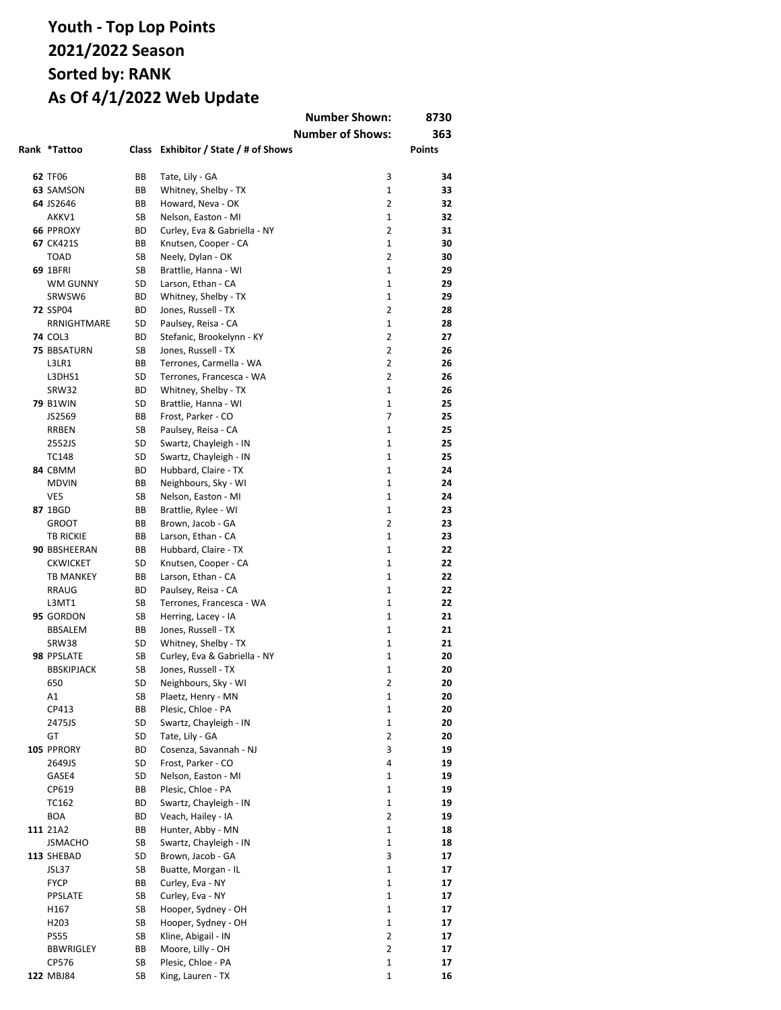|                    |    |                                      | <b>Number Shown:</b>    | 8730   |
|--------------------|----|--------------------------------------|-------------------------|--------|
|                    |    |                                      | <b>Number of Shows:</b> | 363    |
| Rank *Tattoo       |    | Class Exhibitor / State / # of Shows |                         | Points |
|                    |    |                                      |                         |        |
| 62 TF06            | BВ | Tate, Lily - GA                      | 3                       | 34     |
| <b>63 SAMSON</b>   | ВB | Whitney, Shelby - TX                 | $\mathbf{1}$            | 33     |
| 64 JS2646          | BB | Howard, Neva - OK                    | $\overline{2}$          | 32     |
| AKKV1              | SB | Nelson, Easton - MI                  | $\mathbf{1}$            | 32     |
| <b>66 PPROXY</b>   | ВD | Curley, Eva & Gabriella - NY         | 2                       | 31     |
| <b>67 CK421S</b>   | ВB | Knutsen, Cooper - CA                 | $\mathbf{1}$            | 30     |
| <b>TOAD</b>        | SB | Neely, Dylan - OK                    | 2                       | 30     |
| 69 1BFRI           | SB | Brattlie, Hanna - WI                 | $\mathbf{1}$            | 29     |
| <b>WM GUNNY</b>    | SD | Larson, Ethan - CA                   | 1                       | 29     |
| SRWSW6             | ВD | Whitney, Shelby - TX                 | $\mathbf{1}$            | 29     |
| <b>72 SSP04</b>    | ВD | Jones, Russell - TX                  | 2                       | 28     |
| RRNIGHTMARE        | SD | Paulsey, Reisa - CA                  | 1                       | 28     |
| <b>74 COL3</b>     | ВD | Stefanic, Brookelynn - KY            | 2                       | 27     |
| <b>75 BBSATURN</b> | SB | Jones, Russell - TX                  | 2                       | 26     |
| L3LR1              | BВ | Terrones, Carmella - WA              | 2                       | 26     |
| L3DHS1             | SD | Terrones, Francesca - WA             | 2                       | 26     |
| SRW32              | ВD | Whitney, Shelby - TX                 | 1                       | 26     |
| <b>79 B1WIN</b>    | SD | Brattlie, Hanna - WI                 | 1                       | 25     |
| JS2569             | BВ | Frost, Parker - CO                   | 7                       | 25     |
| RRBEN              | SB | Paulsey, Reisa - CA                  | 1                       | 25     |
| 2552JS             | SD | Swartz, Chayleigh - IN               | 1                       | 25     |
| <b>TC148</b>       | SD | Swartz, Chayleigh - IN               | 1                       | 25     |
| 84 CBMM            | ВD | Hubbard, Claire - TX                 | 1                       | 24     |
| <b>MDVIN</b>       | BВ | Neighbours, Sky - WI                 | 1                       | 24     |
| VE5                | SB | Nelson, Easton - MI                  | 1                       | 24     |
| 87 1BGD            | ВB | Brattlie, Rylee - WI                 | 1                       | 23     |
| <b>GROOT</b>       | BВ | Brown, Jacob - GA                    | $\overline{2}$          | 23     |
| <b>TB RICKIE</b>   | BВ | Larson, Ethan - CA                   | $\mathbf{1}$            | 23     |
| 90 BBSHEERAN       | BВ | Hubbard, Claire - TX                 | $\mathbf{1}$            | 22     |
| <b>CKWICKET</b>    | SD | Knutsen, Cooper - CA                 | 1                       | 22     |
| <b>TB MANKEY</b>   | BB | Larson, Ethan - CA                   | $\mathbf{1}$            | 22     |
| RRAUG              | ВD | Paulsey, Reisa - CA                  | 1                       | 22     |
| L3MT1              | SB | Terrones, Francesca - WA             | $\mathbf{1}$            | 22     |
| 95 GORDON          | SB | Herring, Lacey - IA                  | 1                       | 21     |
| BBSALEM            | BВ | Jones, Russell - TX                  | $\mathbf{1}$            | 21     |
| SRW38              | SD | Whitney, Shelby - TX                 | 1                       | 21     |
| 98 PPSLATE         | SB | Curley, Eva & Gabriella - NY         | $\mathbf{1}$            | 20     |
| <b>BBSKIPJACK</b>  | SB | Jones, Russell - TX                  | 1                       | 20     |
| 650                | SD | Neighbours, Sky - WI                 | $\overline{2}$          | 20     |
| A1                 | SB | Plaetz, Henry - MN                   | 1                       | 20     |
| CP413              | ВB | Plesic, Chloe - PA                   | 1                       | 20     |
| 2475JS             | SD | Swartz, Chayleigh - IN               | 1                       | 20     |
| GT                 | SD | Tate, Lily - GA                      | 2                       | 20     |
| 105 PPRORY         | ВD | Cosenza, Savannah - NJ               | 3                       | 19     |
| 2649JS             | SD | Frost, Parker - CO                   | 4                       | 19     |
| GASE4              | SD | Nelson, Easton - MI                  | 1                       | 19     |
| CP619              | ВB | Plesic, Chloe - PA                   | 1                       | 19     |
| TC162              | ВD | Swartz, Chayleigh - IN               | 1                       | 19     |
| BOA                | BD | Veach, Hailey - IA                   | $\overline{2}$          | 19     |
| 111 21A2           | ВB | Hunter, Abby - MN                    | 1                       | 18     |
| <b>JSMACHO</b>     | SB | Swartz, Chayleigh - IN               | 1                       | 18     |
| 113 SHEBAD         | SD | Brown, Jacob - GA                    | 3                       | 17     |
| JSL37              | SB | Buatte, Morgan - IL                  | 1                       | 17     |
| <b>FYCP</b>        | ВB | Curley, Eva - NY                     | 1                       | 17     |
| PPSLATE            | SB | Curley, Eva - NY                     | 1                       | 17     |
| H167               | SB | Hooper, Sydney - OH                  | 1                       | 17     |
| H <sub>203</sub>   | SB | Hooper, Sydney - OH                  | 1                       | 17     |
| <b>PS55</b>        | SB | Kline, Abigail - IN                  | 2                       | 17     |
| BBWRIGLEY          | ВB | Moore, Lilly - OH                    | 2                       | 17     |
| CP576              | SB | Plesic, Chloe - PA                   | 1                       | 17     |
| 122 MBJ84          | SB | King, Lauren - TX                    | 1                       | 16     |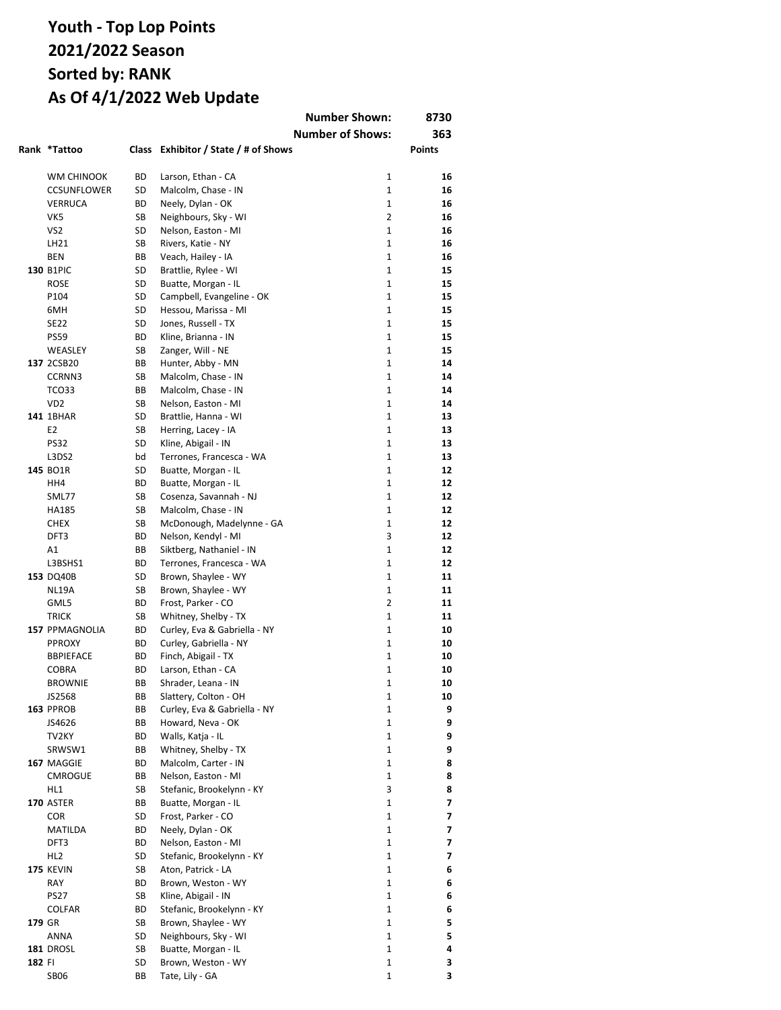|        |                       |           |                                                   | <b>Number Shown:</b>         | 8730          |
|--------|-----------------------|-----------|---------------------------------------------------|------------------------------|---------------|
|        |                       |           |                                                   | <b>Number of Shows:</b>      | 363           |
|        | Rank *Tattoo          |           | Class Exhibitor / State / # of Shows              |                              | <b>Points</b> |
|        |                       |           |                                                   |                              |               |
|        | WM CHINOOK            | ВD        | Larson, Ethan - CA                                | $\mathbf{1}$                 | 16            |
|        | <b>CCSUNFLOWER</b>    | SD        | Malcolm, Chase - IN                               | $\mathbf{1}$                 | 16            |
|        | <b>VERRUCA</b>        | ВD        | Neely, Dylan - OK                                 | $\mathbf{1}$                 | 16            |
|        | VK5                   | SB        | Neighbours, Sky - WI                              | $\overline{2}$               | 16            |
|        | VS <sub>2</sub>       | SD        | Nelson, Easton - MI                               | $\mathbf{1}$                 | 16            |
|        | LH21                  | <b>SB</b> | Rivers, Katie - NY                                | $\mathbf{1}$                 | 16            |
|        | <b>BEN</b>            | BB        | Veach, Hailey - IA                                | $\mathbf{1}$                 | 16            |
|        | 130 B1PIC             | SD        | Brattlie, Rylee - WI                              | $\mathbf{1}$                 | 15            |
|        | <b>ROSE</b>           | SD<br>SD  | Buatte, Morgan - IL                               | $\mathbf{1}$<br>$\mathbf{1}$ | 15<br>15      |
|        | P104<br>6MH           | SD        | Campbell, Evangeline - OK<br>Hessou, Marissa - MI | $\mathbf{1}$                 | 15            |
|        | <b>SE22</b>           | SD        | Jones, Russell - TX                               | $\mathbf{1}$                 | 15            |
|        | <b>PS59</b>           | BD        | Kline, Brianna - IN                               | $\mathbf{1}$                 | 15            |
|        | WEASLEY               | SB        | Zanger, Will - NE                                 | $\mathbf{1}$                 | 15            |
|        | 137 2CSB20            | BВ        | Hunter, Abby - MN                                 | $\mathbf{1}$                 | 14            |
|        | CCRNN3                | SB        | Malcolm, Chase - IN                               | $\mathbf{1}$                 | 14            |
|        | TCO33                 | ВB        | Malcolm, Chase - IN                               | $\mathbf{1}$                 | 14            |
|        | V <sub>D</sub> 2      | SB        | Nelson, Easton - MI                               | $\mathbf{1}$                 | 14            |
|        | 141 1BHAR             | SD        | Brattlie, Hanna - WI                              | $\mathbf{1}$                 | 13            |
|        | E <sub>2</sub>        | SB        | Herring, Lacey - IA                               | $\mathbf{1}$                 | 13            |
|        | <b>PS32</b>           | SD        | Kline, Abigail - IN                               | $\mathbf{1}$                 | 13            |
|        | L3DS2                 | bd        | Terrones, Francesca - WA                          | $\mathbf{1}$                 | 13            |
|        | 145 BO1R              | SD        | Buatte, Morgan - IL                               | $\mathbf{1}$                 | 12            |
|        | HH4                   | ВD        | Buatte, Morgan - IL                               | $\mathbf{1}$                 | 12            |
|        | SML77                 | SB        | Cosenza, Savannah - NJ                            | $\mathbf{1}$                 | 12            |
|        | HA185                 | SB        | Malcolm, Chase - IN                               | $\mathbf{1}$                 | 12            |
|        | <b>CHEX</b>           | SB        | McDonough, Madelynne - GA                         | $\mathbf{1}$                 | 12            |
|        | DFT3                  | ВD        | Nelson, Kendyl - MI                               | 3                            | 12            |
|        | A1                    | BB        | Siktberg, Nathaniel - IN                          | $\mathbf{1}$                 | 12            |
|        | L3BSHS1               | ВD        | Terrones, Francesca - WA                          | $\mathbf{1}$                 | 12            |
|        | 153 DQ40B             | SD        | Brown, Shaylee - WY                               | $\mathbf{1}$                 | 11            |
|        | NL19A                 | SB        | Brown, Shaylee - WY                               | $\mathbf{1}$                 | 11            |
|        | GML5                  | ВD        | Frost, Parker - CO                                | $\overline{2}$               | 11            |
|        | <b>TRICK</b>          | SB        | Whitney, Shelby - TX                              | $\mathbf{1}$                 | 11            |
|        | <b>157 PPMAGNOLIA</b> | ВD        | Curley, Eva & Gabriella - NY                      | $\mathbf{1}$                 | 10            |
|        | <b>PPROXY</b>         | ВD        | Curley, Gabriella - NY                            | $\mathbf{1}$                 | 10            |
|        | <b>BBPIEFACE</b>      | BD        | Finch, Abigail - TX                               | $\mathbf{1}$                 | 10            |
|        | <b>COBRA</b>          | ВD        | Larson, Ethan - CA                                | $\mathbf{1}$                 | 10            |
|        | <b>BROWNIE</b>        | ВB        | Shrader, Leana - IN                               | 1                            | 10            |
|        | JS2568                | ВB        | Slattery, Colton - OH                             | 1                            | 10            |
|        | 163 PPROB             | ВB        | Curley, Eva & Gabriella - NY                      | 1                            | 9             |
|        | JS4626                | ВB<br>ВD  | Howard, Neva - OK<br>Walls, Katja - IL            | 1<br>1                       | 9<br>9        |
|        | TV2KY<br>SRWSW1       | ВB        | Whitney, Shelby - TX                              | 1                            | 9             |
|        | 167 MAGGIE            | BD        | Malcolm, Carter - IN                              | 1                            | 8             |
|        | <b>CMROGUE</b>        | ВB        | Nelson, Easton - MI                               | 1                            | 8             |
|        | HL1                   | SB        | Stefanic, Brookelynn - KY                         | 3                            | 8             |
|        | <b>170 ASTER</b>      | ВB        | Buatte, Morgan - IL                               | $\mathbf{1}$                 | 7             |
|        | <b>COR</b>            | SD        | Frost, Parker - CO                                | 1                            | 7             |
|        | MATILDA               | ВD        | Neely, Dylan - OK                                 | 1                            | 7             |
|        | DFT3                  | ВD        | Nelson, Easton - MI                               | 1                            | 7             |
|        | HL <sub>2</sub>       | SD        | Stefanic, Brookelynn - KY                         | $\mathbf{1}$                 | 7             |
|        | 175 KEVIN             | SB        | Aton, Patrick - LA                                | $\mathbf{1}$                 | 6             |
|        | RAY                   | ВD        | Brown, Weston - WY                                | 1                            | 6             |
|        | <b>PS27</b>           | SB        | Kline, Abigail - IN                               | $\mathbf{1}$                 | 6             |
|        | COLFAR                | ВD        | Stefanic, Brookelynn - KY                         | $\mathbf{1}$                 | 6             |
| 179 GR |                       | SB        | Brown, Shaylee - WY                               | 1                            | 5             |
|        | ANNA                  | SD        | Neighbours, Sky - WI                              | $\mathbf{1}$                 | 5             |
|        | 181 DROSL             | SB        | Buatte, Morgan - IL                               | 1                            | 4             |
| 182 FI |                       | SD        | Brown, Weston - WY                                | $\mathbf 1$                  | 3             |
|        | <b>SB06</b>           | BB        | Tate, Lily - GA                                   | 1                            | 3             |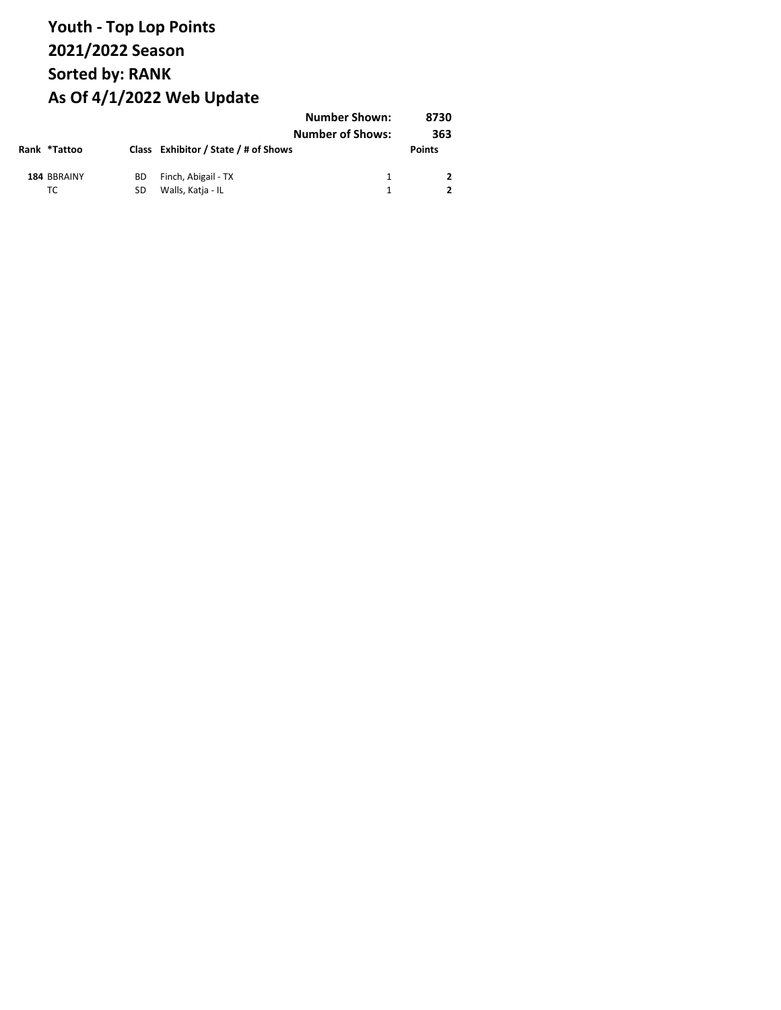|                   |          |                                          | <b>Number Shown:</b><br><b>Number of Shows:</b> | 8730<br>363   |
|-------------------|----------|------------------------------------------|-------------------------------------------------|---------------|
| Rank *Tattoo      |          | Class Exhibitor / State / # of Shows     |                                                 | <b>Points</b> |
| 184 BBRAINY<br>TC | ВD<br>SD | Finch, Abigail - TX<br>Walls, Katja - IL |                                                 |               |